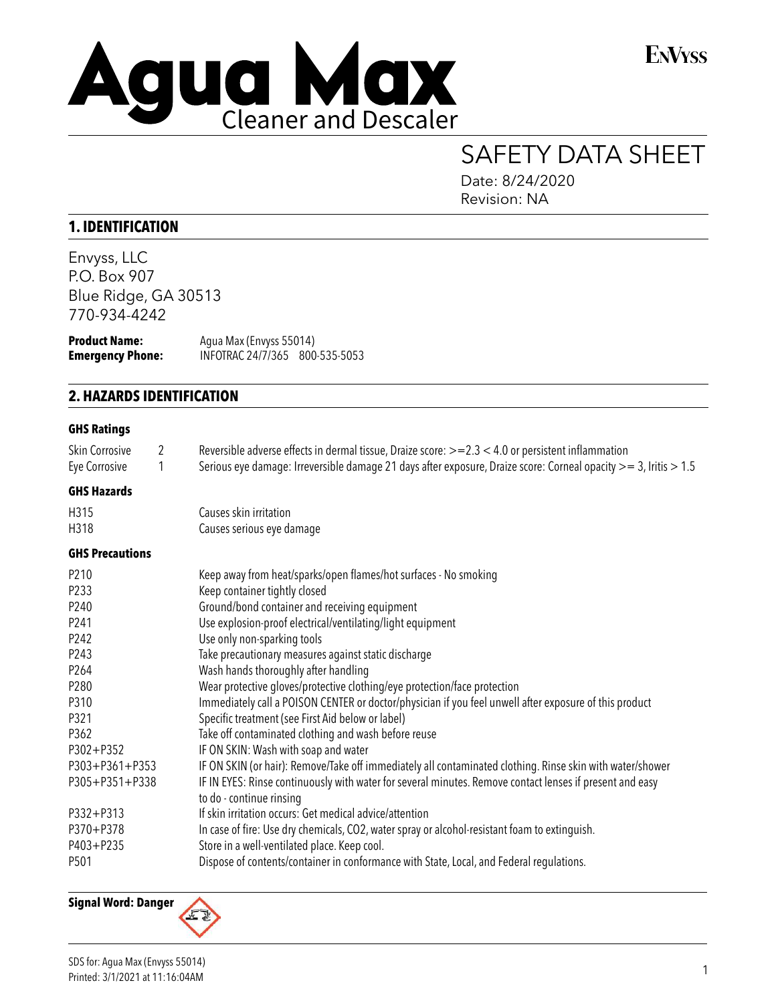

**ENVYSS** 

# SAFETY DATA SHEET

Date: 8/24/2020 Revision: NA

## **1. IDENTIFICATION**

Envyss, LLC P.O. Box 907 Blue Ridge, GA 30513 770-934-4242

| <b>Product Name:</b>    | Agua Max (Envyss 55014)        |  |
|-------------------------|--------------------------------|--|
| <b>Emergency Phone:</b> | INFOTRAC 24/7/365 800-535-5053 |  |

## **2. HAZARDS IDENTIFICATION**

#### **GHS Ratings**

| Skin Corrosive<br>Eye Corrosive                                                                                                                    | 2<br>1 | Reversible adverse effects in dermal tissue, Draize score: >=2.3 < 4.0 or persistent inflammation<br>Serious eye damage: Irreversible damage 21 days after exposure, Draize score: Corneal opacity $>=$ 3, Iritis $>$ 1.5                                                                                                                                                                                                                                                                                                                                                                                                                                                                                                                                                                                                                                                                                                                                                                                   |
|----------------------------------------------------------------------------------------------------------------------------------------------------|--------|-------------------------------------------------------------------------------------------------------------------------------------------------------------------------------------------------------------------------------------------------------------------------------------------------------------------------------------------------------------------------------------------------------------------------------------------------------------------------------------------------------------------------------------------------------------------------------------------------------------------------------------------------------------------------------------------------------------------------------------------------------------------------------------------------------------------------------------------------------------------------------------------------------------------------------------------------------------------------------------------------------------|
| <b>GHS Hazards</b>                                                                                                                                 |        |                                                                                                                                                                                                                                                                                                                                                                                                                                                                                                                                                                                                                                                                                                                                                                                                                                                                                                                                                                                                             |
| H315<br>H318                                                                                                                                       |        | Causes skin irritation<br>Causes serious eye damage                                                                                                                                                                                                                                                                                                                                                                                                                                                                                                                                                                                                                                                                                                                                                                                                                                                                                                                                                         |
| <b>GHS Precautions</b>                                                                                                                             |        |                                                                                                                                                                                                                                                                                                                                                                                                                                                                                                                                                                                                                                                                                                                                                                                                                                                                                                                                                                                                             |
| P210<br>P233<br>P240<br>P241<br>P242<br>P243<br>P264<br>P280<br>P310<br>P321<br>P362<br>P302+P352<br>P303+P361+P353<br>P305+P351+P338<br>P332+P313 |        | Keep away from heat/sparks/open flames/hot surfaces - No smoking<br>Keep container tightly closed<br>Ground/bond container and receiving equipment<br>Use explosion-proof electrical/ventilating/light equipment<br>Use only non-sparking tools<br>Take precautionary measures against static discharge<br>Wash hands thoroughly after handling<br>Wear protective gloves/protective clothing/eye protection/face protection<br>Immediately call a POISON CENTER or doctor/physician if you feel unwell after exposure of this product<br>Specific treatment (see First Aid below or label)<br>Take off contaminated clothing and wash before reuse<br>IF ON SKIN: Wash with soap and water<br>IF ON SKIN (or hair): Remove/Take off immediately all contaminated clothing. Rinse skin with water/shower<br>IF IN EYES: Rinse continuously with water for several minutes. Remove contact lenses if present and easy<br>to do - continue rinsing<br>If skin irritation occurs: Get medical advice/attention |
| P370+P378<br>P403+P235<br>P501                                                                                                                     |        | In case of fire: Use dry chemicals, CO2, water spray or alcohol-resistant foam to extinguish.<br>Store in a well-ventilated place. Keep cool.<br>Dispose of contents/container in conformance with State, Local, and Federal regulations.                                                                                                                                                                                                                                                                                                                                                                                                                                                                                                                                                                                                                                                                                                                                                                   |
|                                                                                                                                                    |        |                                                                                                                                                                                                                                                                                                                                                                                                                                                                                                                                                                                                                                                                                                                                                                                                                                                                                                                                                                                                             |

**Signal Word: Danger**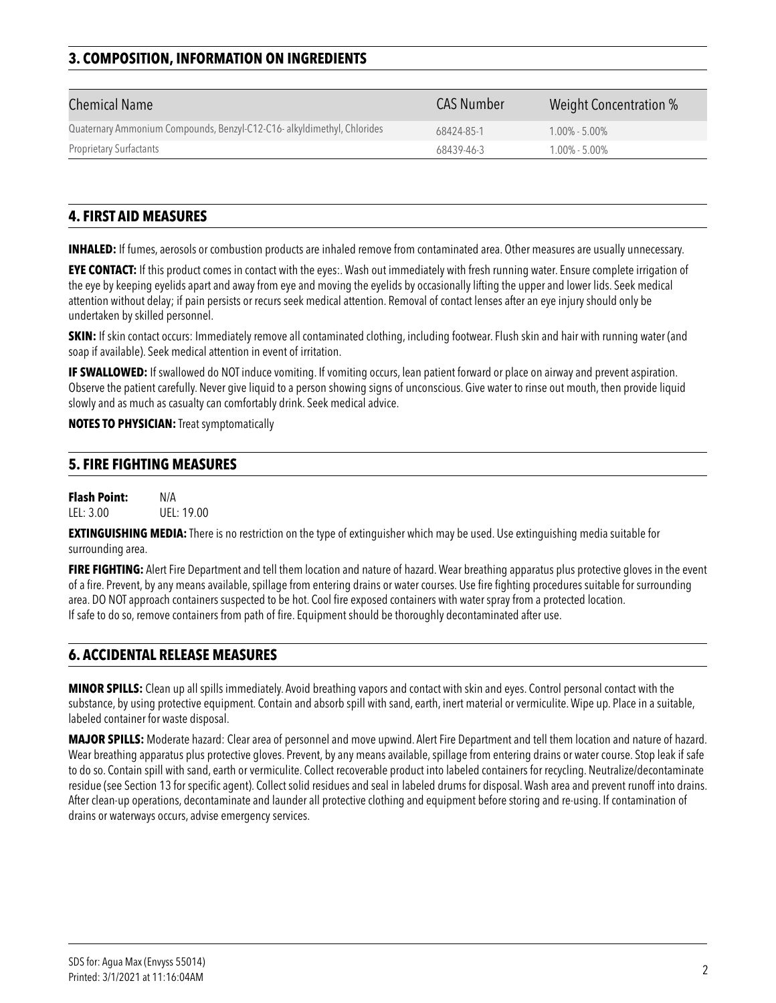# **3. COMPOSITION, INFORMATION ON INGREDIENTS**

| <b>Chemical Name</b>                                                    | <b>CAS Number</b> | Weight Concentration % |
|-------------------------------------------------------------------------|-------------------|------------------------|
| Quaternary Ammonium Compounds, Benzyl-C12-C16- alkyldimethyl, Chlorides | 68424-85-1        | $1.00\% - 5.00\%$      |
| <b>Proprietary Surfactants</b>                                          | 68439-46-3        | $1.00\% - 5.00\%$      |

## **4. FIRST AID MEASURES**

**INHALED:** If fumes, aerosols or combustion products are inhaled remove from contaminated area. Other measures are usually unnecessary.

**EYE CONTACT:** If this product comes in contact with the eyes:. Wash out immediately with fresh running water. Ensure complete irrigation of the eye by keeping eyelids apart and away from eye and moving the eyelids by occasionally lifting the upper and lower lids. Seek medical attention without delay; if pain persists or recurs seek medical attention. Removal of contact lenses after an eye injury should only be undertaken by skilled personnel.

**SKIN:** If skin contact occurs: Immediately remove all contaminated clothing, including footwear. Flush skin and hair with running water (and soap if available). Seek medical attention in event of irritation.

**IF SWALLOWED:** If swallowed do NOT induce vomiting. If vomiting occurs, lean patient forward or place on airway and prevent aspiration. Observe the patient carefully. Never give liquid to a person showing signs of unconscious. Give water to rinse out mouth, then provide liquid slowly and as much as casualty can comfortably drink. Seek medical advice.

#### **NOTES TO PHYSICIAN:** Treat symptomatically

#### **5. FIRE FIGHTING MEASURES**

**Flash Point:** N/A LEL: 3.00 UEL: 19.00

**EXTINGUISHING MEDIA:** There is no restriction on the type of extinguisher which may be used. Use extinguishing media suitable for surrounding area.

**FIRE FIGHTING:** Alert Fire Department and tell them location and nature of hazard. Wear breathing apparatus plus protective gloves in the event of a fire. Prevent, by any means available, spillage from entering drains or water courses. Use fire fighting procedures suitable for surrounding area. DO NOT approach containers suspected to be hot. Cool fire exposed containers with water spray from a protected location. If safe to do so, remove containers from path of fire. Equipment should be thoroughly decontaminated after use.

## **6. ACCIDENTAL RELEASE MEASURES**

**MINOR SPILLS:** Clean up all spills immediately. Avoid breathing vapors and contact with skin and eyes. Control personal contact with the substance, by using protective equipment. Contain and absorb spill with sand, earth, inert material or vermiculite. Wipe up. Place in a suitable, labeled container for waste disposal.

**MAJOR SPILLS:** Moderate hazard: Clear area of personnel and move upwind. Alert Fire Department and tell them location and nature of hazard. Wear breathing apparatus plus protective gloves. Prevent, by any means available, spillage from entering drains or water course. Stop leak if safe to do so. Contain spill with sand, earth or vermiculite. Collect recoverable product into labeled containers for recycling. Neutralize/decontaminate residue (see Section 13 for specific agent). Collect solid residues and seal in labeled drums for disposal. Wash area and prevent runoff into drains. After clean-up operations, decontaminate and launder all protective clothing and equipment before storing and re-using. If contamination of drains or waterways occurs, advise emergency services.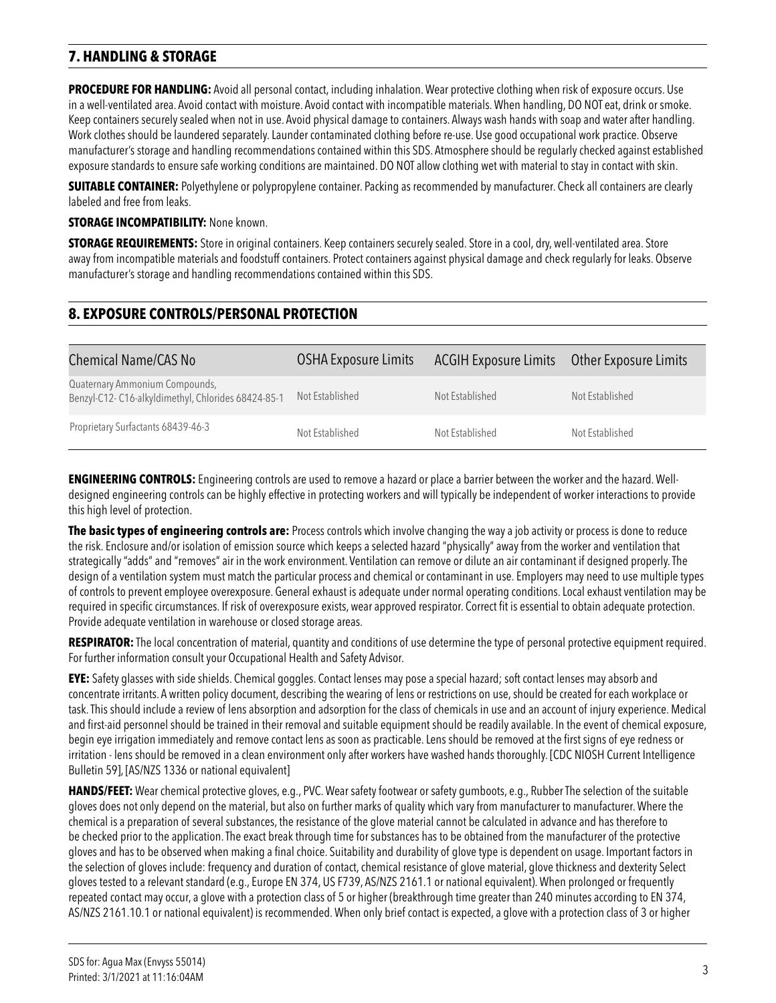# **7. HANDLING & STORAGE**

**PROCEDURE FOR HANDLING:** Avoid all personal contact, including inhalation. Wear protective clothing when risk of exposure occurs. Use in a well-ventilated area. Avoid contact with moisture. Avoid contact with incompatible materials. When handling, DO NOT eat, drink or smoke. Keep containers securely sealed when not in use. Avoid physical damage to containers. Always wash hands with soap and water after handling. Work clothes should be laundered separately. Launder contaminated clothing before re-use. Use good occupational work practice. Observe manufacturer's storage and handling recommendations contained within this SDS. Atmosphere should be regularly checked against established exposure standards to ensure safe working conditions are maintained. DO NOT allow clothing wet with material to stay in contact with skin.

**SUITABLE CONTAINER:** Polyethylene or polypropylene container. Packing as recommended by manufacturer. Check all containers are clearly labeled and free from leaks.

**STORAGE INCOMPATIBILITY: None known.** 

**STORAGE REQUIREMENTS:** Store in original containers. Keep containers securely sealed. Store in a cool, dry, well-ventilated area. Store away from incompatible materials and foodstuff containers. Protect containers against physical damage and check regularly for leaks. Observe manufacturer's storage and handling recommendations contained within this SDS.

## **8. EXPOSURE CONTROLS/PERSONAL PROTECTION**

| <b>Chemical Name/CAS No</b>                                                          | <b>OSHA Exposure Limits</b> | ACGIH Exposure Limits  Other Exposure Limits |                 |
|--------------------------------------------------------------------------------------|-----------------------------|----------------------------------------------|-----------------|
| Quaternary Ammonium Compounds,<br>Benzyl-C12-C16-alkyldimethyl, Chlorides 68424-85-1 | Not Established             | Not Established                              | Not Established |
| Proprietary Surfactants 68439-46-3                                                   | Not Established             | Not Established                              | Not Established |

**ENGINEERING CONTROLS:** Engineering controls are used to remove a hazard or place a barrier between the worker and the hazard. Welldesigned engineering controls can be highly effective in protecting workers and will typically be independent of worker interactions to provide this high level of protection.

**The basic types of engineering controls are:** Process controls which involve changing the way a job activity or process is done to reduce the risk. Enclosure and/or isolation of emission source which keeps a selected hazard "physically" away from the worker and ventilation that strategically "adds" and "removes" air in the work environment. Ventilation can remove or dilute an air contaminant if designed properly. The design of a ventilation system must match the particular process and chemical or contaminant in use. Employers may need to use multiple types of controls to prevent employee overexposure. General exhaust is adequate under normal operating conditions. Local exhaust ventilation may be required in specific circumstances. If risk of overexposure exists, wear approved respirator. Correct fit is essential to obtain adequate protection. Provide adequate ventilation in warehouse or closed storage areas.

**RESPIRATOR:** The local concentration of material, quantity and conditions of use determine the type of personal protective equipment required. For further information consult your Occupational Health and Safety Advisor.

**EYE:** Safety glasses with side shields. Chemical goggles. Contact lenses may pose a special hazard; soft contact lenses may absorb and concentrate irritants. A written policy document, describing the wearing of lens or restrictions on use, should be created for each workplace or task. This should include a review of lens absorption and adsorption for the class of chemicals in use and an account of injury experience. Medical and first-aid personnel should be trained in their removal and suitable equipment should be readily available. In the event of chemical exposure, begin eye irrigation immediately and remove contact lens as soon as practicable. Lens should be removed at the first signs of eye redness or irritation - lens should be removed in a clean environment only after workers have washed hands thoroughly. [CDC NIOSH Current Intelligence Bulletin 59], [AS/NZS 1336 or national equivalent]

**HANDS/FEET:** Wear chemical protective gloves, e.g., PVC. Wear safety footwear or safety gumboots, e.g., Rubber The selection of the suitable gloves does not only depend on the material, but also on further marks of quality which vary from manufacturer to manufacturer. Where the chemical is a preparation of several substances, the resistance of the glove material cannot be calculated in advance and has therefore to be checked prior to the application. The exact break through time for substances has to be obtained from the manufacturer of the protective gloves and has to be observed when making a final choice. Suitability and durability of glove type is dependent on usage. Important factors in the selection of gloves include: frequency and duration of contact, chemical resistance of glove material, glove thickness and dexterity Select gloves tested to a relevant standard (e.g., Europe EN 374, US F739, AS/NZS 2161.1 or national equivalent). When prolonged or frequently repeated contact may occur, a glove with a protection class of 5 or higher (breakthrough time greater than 240 minutes according to EN 374, AS/NZS 2161.10.1 or national equivalent) is recommended. When only brief contact is expected, a glove with a protection class of 3 or higher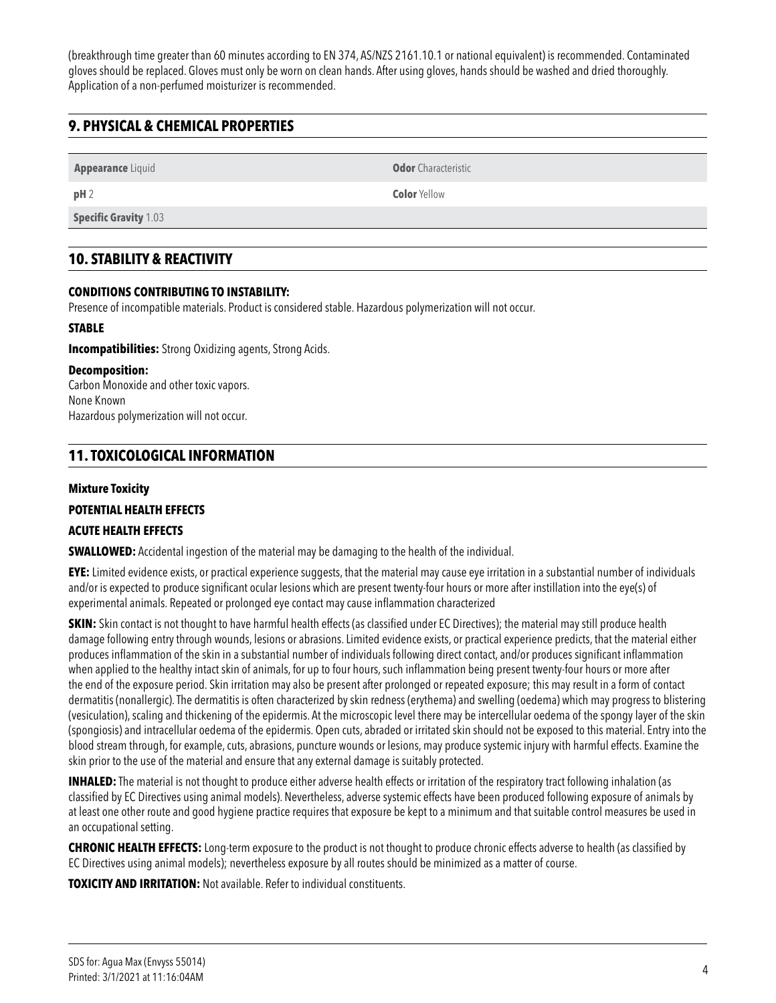(breakthrough time greater than 60 minutes according to EN 374, AS/NZS 2161.10.1 or national equivalent) is recommended. Contaminated gloves should be replaced. Gloves must only be worn on clean hands. After using gloves, hands should be washed and dried thoroughly. Application of a non-perfumed moisturizer is recommended.

# **9. PHYSICAL & CHEMICAL PROPERTIES**

**Appearance** Liquid **Odor** Characteristic

**pH** 2 **Color** Yellow

**Specific Gravity** 1.03

## **10. STABILITY & REACTIVITY**

#### **CONDITIONS CONTRIBUTING TO INSTABILITY:**

Presence of incompatible materials. Product is considered stable. Hazardous polymerization will not occur.

#### **STABLE**

**Incompatibilities:** Strong Oxidizing agents, Strong Acids.

#### **Decomposition:**

Carbon Monoxide and other toxic vapors. None Known Hazardous polymerization will not occur.

# **11. TOXICOLOGICAL INFORMATION**

#### **Mixture Toxicity**

## **POTENTIAL HEALTH EFFECTS**

#### **ACUTE HEALTH EFFECTS**

**SWALLOWED:** Accidental ingestion of the material may be damaging to the health of the individual.

**EYE:** Limited evidence exists, or practical experience suggests, that the material may cause eye irritation in a substantial number of individuals and/or is expected to produce significant ocular lesions which are present twenty-four hours or more after instillation into the eye(s) of experimental animals. Repeated or prolonged eye contact may cause inflammation characterized

**SKIN:** Skin contact is not thought to have harmful health effects (as classified under EC Directives); the material may still produce health damage following entry through wounds, lesions or abrasions. Limited evidence exists, or practical experience predicts, that the material either produces inflammation of the skin in a substantial number of individuals following direct contact, and/or produces significant inflammation when applied to the healthy intact skin of animals, for up to four hours, such inflammation being present twenty-four hours or more after the end of the exposure period. Skin irritation may also be present after prolonged or repeated exposure; this may result in a form of contact dermatitis (nonallergic). The dermatitis is often characterized by skin redness (erythema) and swelling (oedema) which may progress to blistering (vesiculation), scaling and thickening of the epidermis. At the microscopic level there may be intercellular oedema of the spongy layer of the skin (spongiosis) and intracellular oedema of the epidermis. Open cuts, abraded or irritated skin should not be exposed to this material. Entry into the blood stream through, for example, cuts, abrasions, puncture wounds or lesions, may produce systemic injury with harmful effects. Examine the skin prior to the use of the material and ensure that any external damage is suitably protected.

**INHALED:** The material is not thought to produce either adverse health effects or irritation of the respiratory tract following inhalation (as classified by EC Directives using animal models). Nevertheless, adverse systemic effects have been produced following exposure of animals by at least one other route and good hygiene practice requires that exposure be kept to a minimum and that suitable control measures be used in an occupational setting.

**CHRONIC HEALTH EFFECTS:** Long-term exposure to the product is not thought to produce chronic effects adverse to health (as classified by EC Directives using animal models); nevertheless exposure by all routes should be minimized as a matter of course.

**TOXICITY AND IRRITATION:** Not available. Refer to individual constituents.